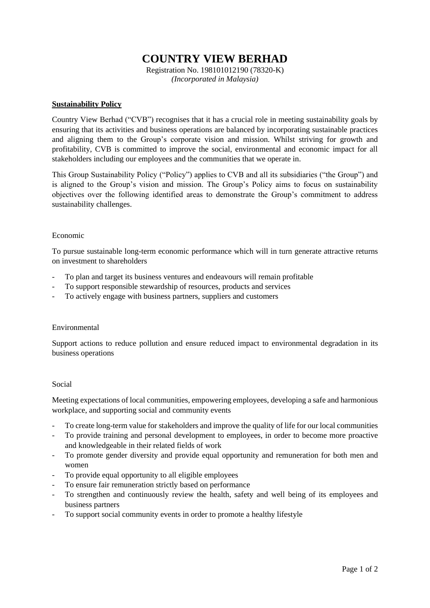# **COUNTRY VIEW BERHAD**

Registration No. 198101012190 (78320-K) *(Incorporated in Malaysia)*

### **Sustainability Policy**

Country View Berhad ("CVB") recognises that it has a crucial role in meeting sustainability goals by ensuring that its activities and business operations are balanced by incorporating sustainable practices and aligning them to the Group's corporate vision and mission. Whilst striving for growth and profitability, CVB is committed to improve the social, environmental and economic impact for all stakeholders including our employees and the communities that we operate in.

This Group Sustainability Policy ("Policy") applies to CVB and all its subsidiaries ("the Group") and is aligned to the Group's vision and mission. The Group's Policy aims to focus on sustainability objectives over the following identified areas to demonstrate the Group's commitment to address sustainability challenges.

#### Economic

To pursue sustainable long-term economic performance which will in turn generate attractive returns on investment to shareholders

- To plan and target its business ventures and endeavours will remain profitable
- To support responsible stewardship of resources, products and services
- To actively engage with business partners, suppliers and customers

#### Environmental

Support actions to reduce pollution and ensure reduced impact to environmental degradation in its business operations

#### Social

Meeting expectations of local communities, empowering employees, developing a safe and harmonious workplace, and supporting social and community events

- To create long-term value for stakeholders and improve the quality of life for our local communities
- To provide training and personal development to employees, in order to become more proactive and knowledgeable in their related fields of work
- To promote gender diversity and provide equal opportunity and remuneration for both men and women
- To provide equal opportunity to all eligible employees
- To ensure fair remuneration strictly based on performance
- To strengthen and continuously review the health, safety and well being of its employees and business partners
- To support social community events in order to promote a healthy lifestyle